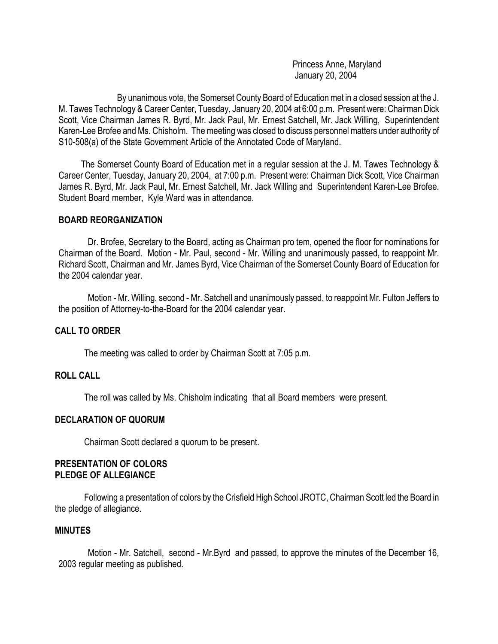Princess Anne, Maryland January 20, 2004

By unanimous vote, the Somerset County Board of Education met in a closed session at the J. M. Tawes Technology & Career Center, Tuesday, January 20, 2004 at 6:00 p.m. Present were: Chairman Dick Scott, Vice Chairman James R. Byrd, Mr. Jack Paul, Mr. Ernest Satchell, Mr. Jack Willing, Superintendent Karen-Lee Brofee and Ms. Chisholm. The meeting was closed to discuss personnel matters under authority of S10-508(a) of the State Government Article of the Annotated Code of Maryland.

 The Somerset County Board of Education met in a regular session at the J. M. Tawes Technology & Career Center, Tuesday, January 20, 2004, at 7:00 p.m. Present were: Chairman Dick Scott, Vice Chairman James R. Byrd, Mr. Jack Paul, Mr. Ernest Satchell, Mr. Jack Willing and Superintendent Karen-Lee Brofee. Student Board member, Kyle Ward was in attendance.

#### **BOARD REORGANIZATION**

Dr. Brofee, Secretary to the Board, acting as Chairman pro tem, opened the floor for nominations for Chairman of the Board. Motion - Mr. Paul, second - Mr. Willing and unanimously passed, to reappoint Mr. Richard Scott, Chairman and Mr. James Byrd, Vice Chairman of the Somerset County Board of Education for the 2004 calendar year.

Motion - Mr. Willing, second - Mr. Satchell and unanimously passed, to reappoint Mr. Fulton Jeffers to the position of Attorney-to-the-Board for the 2004 calendar year.

### **CALL TO ORDER**

The meeting was called to order by Chairman Scott at 7:05 p.m.

### **ROLL CALL**

The roll was called by Ms. Chisholm indicating that all Board members were present.

### **DECLARATION OF QUORUM**

Chairman Scott declared a quorum to be present.

#### **PRESENTATION OF COLORS PLEDGE OF ALLEGIANCE**

Following a presentation of colors by the Crisfield High School JROTC, Chairman Scott led the Board in the pledge of allegiance.

#### **MINUTES**

Motion - Mr. Satchell, second - Mr.Byrd and passed, to approve the minutes of the December 16, 2003 regular meeting as published.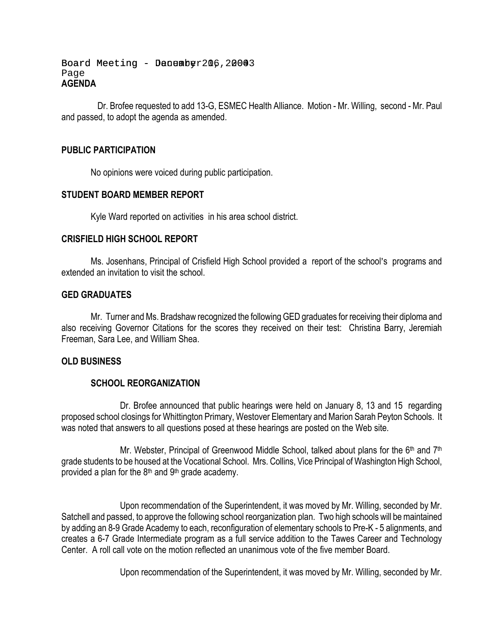Board Meeting - Denember 206, 20043 Page **AGENDA** 

 Dr. Brofee requested to add 13-G, ESMEC Health Alliance. Motion - Mr. Willing, second - Mr. Paul and passed, to adopt the agenda as amended.

### **PUBLIC PARTICIPATION**

No opinions were voiced during public participation.

### **STUDENT BOARD MEMBER REPORT**

Kyle Ward reported on activities in his area school district.

### **CRISFIELD HIGH SCHOOL REPORT**

Ms. Josenhans, Principal of Crisfield High School provided a report of the school's programs and extended an invitation to visit the school.

### **GED GRADUATES**

Mr. Turner and Ms. Bradshaw recognized the following GED graduates for receiving their diploma and also receiving Governor Citations for the scores they received on their test: Christina Barry, Jeremiah Freeman, Sara Lee, and William Shea.

# **OLD BUSINESS**

### **SCHOOL REORGANIZATION**

Dr. Brofee announced that public hearings were held on January 8, 13 and 15 regarding proposed school closings for Whittington Primary, Westover Elementary and Marion Sarah Peyton Schools. It was noted that answers to all questions posed at these hearings are posted on the Web site.

Mr. Webster, Principal of Greenwood Middle School, talked about plans for the 6<sup>th</sup> and 7<sup>th</sup> grade students to be housed at the Vocational School. Mrs. Collins, Vice Principal of Washington High School, provided a plan for the  $8<sup>th</sup>$  and  $9<sup>th</sup>$  grade academy.

Upon recommendation of the Superintendent, it was moved by Mr. Willing, seconded by Mr. Satchell and passed, to approve the following school reorganization plan. Two high schools will be maintained by adding an 8-9 Grade Academy to each, reconfiguration of elementary schools to Pre-K - 5 alignments, and creates a 6-7 Grade Intermediate program as a full service addition to the Tawes Career and Technology Center. A roll call vote on the motion reflected an unanimous vote of the five member Board.

Upon recommendation of the Superintendent, it was moved by Mr. Willing, seconded by Mr.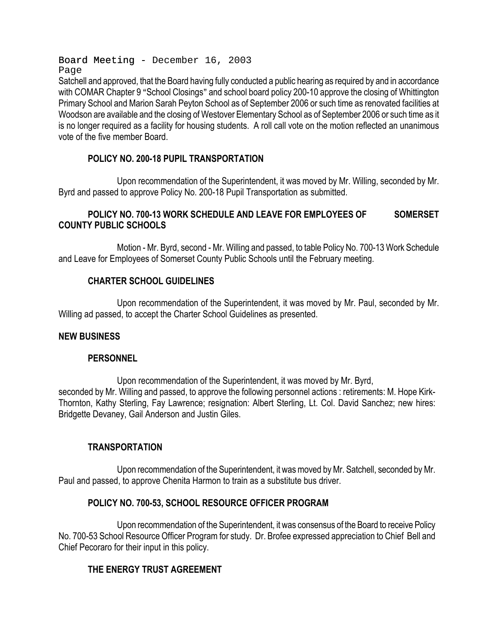Board Meeting - December 16, 2003 Page

Satchell and approved, that the Board having fully conducted a public hearing as required by and in accordance with COMAR Chapter 9 "School Closings" and school board policy 200-10 approve the closing of Whittington Primary School and Marion Sarah Peyton School as of September 2006 or such time as renovated facilities at Woodson are available and the closing of Westover Elementary School as of September 2006 or such time as it is no longer required as a facility for housing students. A roll call vote on the motion reflected an unanimous vote of the five member Board.

# **POLICY NO. 200-18 PUPIL TRANSPORTATION**

Upon recommendation of the Superintendent, it was moved by Mr. Willing, seconded by Mr. Byrd and passed to approve Policy No. 200-18 Pupil Transportation as submitted.

# **POLICY NO. 700-13 WORK SCHEDULE AND LEAVE FOR EMPLOYEES OF SOMERSET COUNTY PUBLIC SCHOOLS**

Motion - Mr. Byrd, second - Mr. Willing and passed, to table Policy No. 700-13 Work Schedule and Leave for Employees of Somerset County Public Schools until the February meeting.

# **CHARTER SCHOOL GUIDELINES**

Upon recommendation of the Superintendent, it was moved by Mr. Paul, seconded by Mr. Willing ad passed, to accept the Charter School Guidelines as presented.

# **NEW BUSINESS**

### **PERSONNEL**

Upon recommendation of the Superintendent, it was moved by Mr. Byrd, seconded by Mr. Willing and passed, to approve the following personnel actions : retirements: M. Hope Kirk-Thornton, Kathy Sterling, Fay Lawrence; resignation: Albert Sterling, Lt. Col. David Sanchez; new hires: Bridgette Devaney, Gail Anderson and Justin Giles.

# **TRANSPORTATION**

Upon recommendation of the Superintendent, it was moved by Mr. Satchell, seconded by Mr. Paul and passed, to approve Chenita Harmon to train as a substitute bus driver.

# **POLICY NO. 700-53, SCHOOL RESOURCE OFFICER PROGRAM**

Upon recommendation of the Superintendent, it was consensus of the Board to receive Policy No. 700-53 School Resource Officer Program for study. Dr. Brofee expressed appreciation to Chief Bell and Chief Pecoraro for their input in this policy.

# **THE ENERGY TRUST AGREEMENT**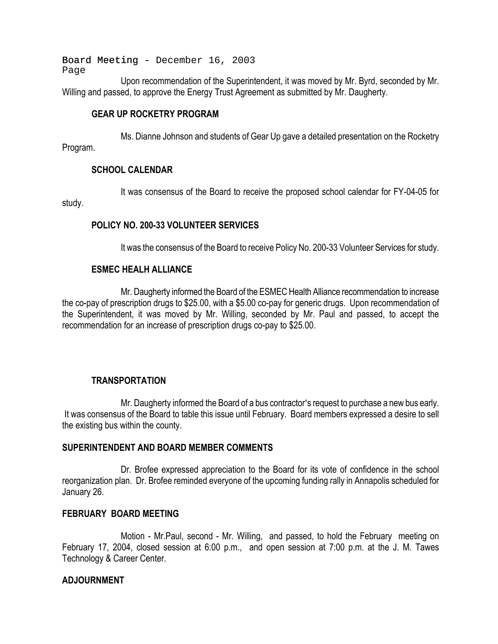Board Meeting - December 16, 2003 Page

Upon recommendation of the Superintendent, it was moved by Mr. Byrd, seconded by Mr. Willing and passed, to approve the Energy Trust Agreement as submitted by Mr. Daugherty.

### **GEAR UP ROCKETRY PROGRAM**

Ms. Dianne Johnson and students of Gear Up gave a detailed presentation on the Rocketry Program.

### **SCHOOL CALENDAR**

It was consensus of the Board to receive the proposed school calendar for FY-04-05 for study.

### **POLICY NO. 200-33 VOLUNTEER SERVICES**

It was the consensus of the Board to receive Policy No. 200-33 Volunteer Services for study.

### **ESMEC HEALH ALLIANCE**

Mr. Daugherty informed the Board of the ESMEC Health Alliance recommendation to increase the co-pay of prescription drugs to \$25.00, with a \$5.00 co-pay for generic drugs. Upon recommendation of the Superintendent, it was moved by Mr. Willing, seconded by Mr. Paul and passed, to accept the recommendation for an increase of prescription drugs co-pay to \$25.00.

### **TRANSPORTATION**

Mr. Daugherty informed the Board of a bus contractor's request to purchase a new bus early. It was consensus of the Board to table this issue until February. Board members expressed a desire to sell the existing bus within the county.

### **SUPERINTENDENT AND BOARD MEMBER COMMENTS**

Dr. Brofee expressed appreciation to the Board for its vote of confidence in the school reorganization plan. Dr. Brofee reminded everyone of the upcoming funding rally in Annapolis scheduled for January 26.

### **FEBRUARY BOARD MEETING**

Motion - Mr.Paul, second - Mr. Willing, and passed, to hold the February meeting on February 17, 2004, closed session at 6:00 p.m., and open session at 7:00 p.m. at the J. M. Tawes Technology & Career Center.

### **ADJOURNMENT**